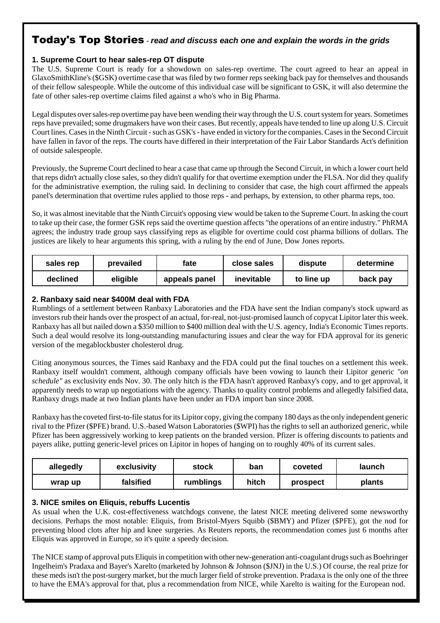# Today's Top Stories - **read and discuss each one and explain the words in the grids**

#### **1. Supreme Court to hear sales-rep OT dispute**

The U.S. Supreme Court is ready for a showdown on sales-rep overtime. The court agreed to hear an appeal in GlaxoSmithKline's (\$GSK) overtime case that was filed by two former reps seeking back pay for themselves and thousands of their fellow salespeople. While the outcome of this individual case will be significant to GSK, it will also determine the fate of other sales-rep overtime claims filed against a who's who in Big Pharma.

Legal disputes over sales-rep overtime pay have been wending their way through the U.S. court system for years. Sometimes reps have prevailed; some drugmakers have won their cases. But recently, appeals have tended to line up along U.S. Circuit Court lines. Cases in the Ninth Circuit - such as GSK's - have ended in victory for the companies. Cases in the Second Circuit have fallen in favor of the reps. The courts have differed in their interpretation of the Fair Labor Standards Act's definition of outside salespeople.

Previously, the Supreme Court declined to hear a case that came up through the Second Circuit, in which a lower court held that reps didn't actually close sales, so they didn't qualify for that overtime exemption under the FLSA. Nor did they qualify for the administrative exemption, the ruling said. In declining to consider that case, the high court affirmed the appeals panel's determination that overtime rules applied to those reps - and perhaps, by extension, to other pharma reps, too.

So, it was almost inevitable that the Ninth Circuit's opposing view would be taken to the Supreme Court. In asking the court to take up their case, the former GSK reps said the overtime question affects "the operations of an entire industry." PhRMA agrees; the industry trade group says classifying reps as eligible for overtime could cost pharma billions of dollars. The justices are likely to hear arguments this spring, with a ruling by the end of June, Dow Jones reports.

| sales rep | prevailed | fate          | close sales | dispute    | determine |
|-----------|-----------|---------------|-------------|------------|-----------|
| declined  | eligible  | appeals panel | inevitable  | to line up | back pay  |

#### **2. Ranbaxy said near \$400M deal with FDA**

Rumblings of a settlement between Ranbaxy Laboratories and the FDA have sent the Indian company's stock upward as investors rub their hands over the prospect of an actual, for-real, not-just-promised launch of copycat Lipitor later this week. Ranbaxy has all but nailed down a \$350 million to \$400 million deal with the U.S. agency, India's Economic Times reports. Such a deal would resolve its long-outstanding manufacturing issues and clear the way for FDA approval for its generic version of the megablockbuster cholesterol drug.

Citing anonymous sources, the Times said Ranbaxy and the FDA could put the final touches on a settlement this week. Ranbaxy itself wouldn't comment, although company officials have been vowing to launch their Lipitor generic *"on schedule"* as exclusivity ends Nov. 30. The only hitch is the FDA hasn't approved Ranbaxy's copy, and to get approval, it apparently needs to wrap up negotiations with the agency. Thanks to quality control problems and allegedly falsified data, Ranbaxy drugs made at two Indian plants have been under an FDA import ban since 2008.

Ranbaxy has the coveted first-to-file status for its Lipitor copy, giving the company 180 days as the only independent generic rival to the Pfizer (\$PFE) brand. U.S.-based Watson Laboratories (\$WPI) has the rights to sell an authorized generic, while Pfizer has been aggressively working to keep patients on the branded version. Pfizer is offering discounts to patients and payers alike, putting generic-level prices on Lipitor in hopes of hanging on to roughly 40% of its current sales.

| allegedly | exclusivity | stock     | ban   | coveted  | launch |
|-----------|-------------|-----------|-------|----------|--------|
| wrap up   | falsified   | rumblings | hitch | prospect | plants |

#### **3. NICE smiles on Eliquis, rebuffs Lucentis**

As usual when the U.K. cost-effectiveness watchdogs convene, the latest NICE meeting delivered some newsworthy decisions. Perhaps the most notable: Eliquis, from Bristol-Myers Squibb (\$BMY) and Pfizer (\$PFE), got the nod for preventing blood clots after hip and knee surgeries. As Reuters reports, the recommendation comes just 6 months after Eliquis was approved in Europe, so it's quite a speedy decision.

The NICE stamp of approval puts Eliquis in competition with other new-generation anti-coagulant drugs such as Boehringer Ingelheim's Pradaxa and Bayer's Xarelto (marketed by Johnson & Johnson (\$JNJ) in the U.S.) Of course, the real prize for these meds isn't the post-surgery market, but the much larger field of stroke prevention. Pradaxa is the only one of the three to have the EMA's approval for that, plus a recommendation from NICE, while Xarelto is waiting for the European nod.